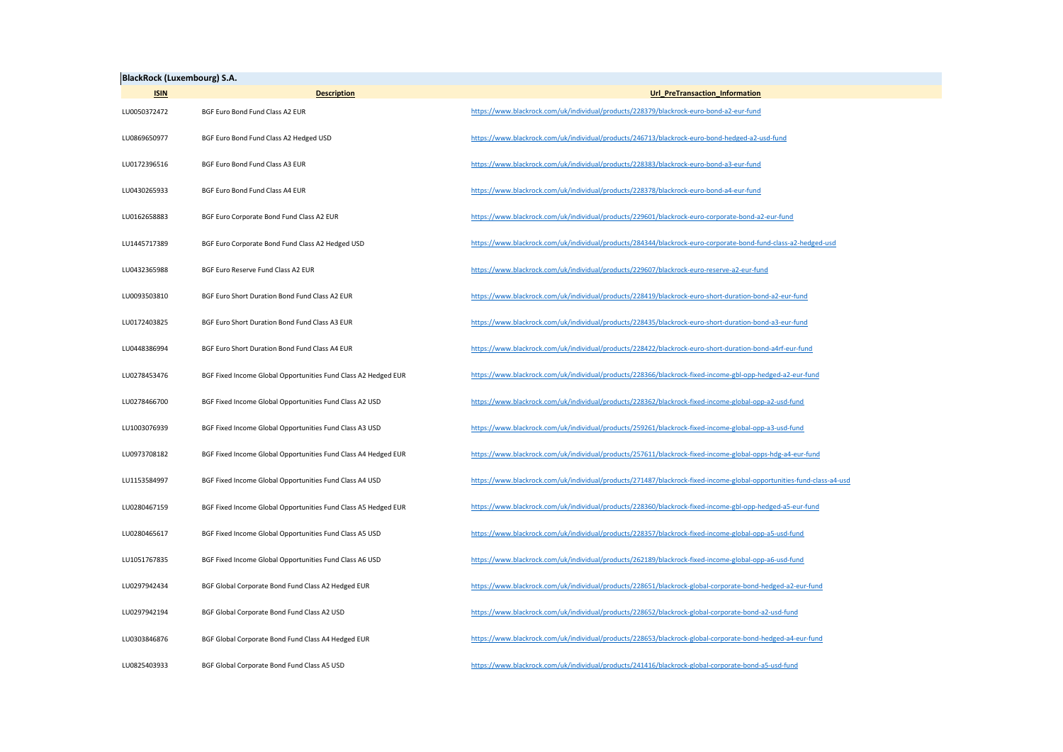| <b>BlackRock (Luxembourg) S.A.</b> |                                                                |                                                                                                                       |  |
|------------------------------------|----------------------------------------------------------------|-----------------------------------------------------------------------------------------------------------------------|--|
| <b>ISIN</b>                        | <b>Description</b>                                             | Url_PreTransaction_Information                                                                                        |  |
| LU0050372472                       | BGF Euro Bond Fund Class A2 EUR                                | https://www.blackrock.com/uk/individual/products/228379/blackrock-euro-bond-a2-eur-fund                               |  |
| LU0869650977                       | BGF Euro Bond Fund Class A2 Hedged USD                         | https://www.blackrock.com/uk/individual/products/246713/blackrock-euro-bond-hedged-a2-usd-fund                        |  |
| LU0172396516                       | BGF Euro Bond Fund Class A3 EUR                                | https://www.blackrock.com/uk/individual/products/228383/blackrock-euro-bond-a3-eur-fund                               |  |
| LU0430265933                       | BGF Euro Bond Fund Class A4 EUR                                | https://www.blackrock.com/uk/individual/products/228378/blackrock-euro-bond-a4-eur-fund                               |  |
| LU0162658883                       | BGF Euro Corporate Bond Fund Class A2 EUR                      | https://www.blackrock.com/uk/individual/products/229601/blackrock-euro-corporate-bond-a2-eur-fund                     |  |
| LU1445717389                       | BGF Euro Corporate Bond Fund Class A2 Hedged USD               | https://www.blackrock.com/uk/individual/products/284344/blackrock-euro-corporate-bond-fund-class-a2-hedged-usd        |  |
| LU0432365988                       | BGF Euro Reserve Fund Class A2 EUR                             | https://www.blackrock.com/uk/individual/products/229607/blackrock-euro-reserve-a2-eur-fund                            |  |
| LU0093503810                       | BGF Euro Short Duration Bond Fund Class A2 EUR                 | https://www.blackrock.com/uk/individual/products/228419/blackrock-euro-short-duration-bond-a2-eur-fund                |  |
| LU0172403825                       | BGF Euro Short Duration Bond Fund Class A3 EUR                 | https://www.blackrock.com/uk/individual/products/228435/blackrock-euro-short-duration-bond-a3-eur-fund                |  |
| LU0448386994                       | BGF Euro Short Duration Bond Fund Class A4 EUR                 | https://www.blackrock.com/uk/individual/products/228422/blackrock-euro-short-duration-bond-a4rf-eur-fund              |  |
| LU0278453476                       | BGF Fixed Income Global Opportunities Fund Class A2 Hedged EUR | https://www.blackrock.com/uk/individual/products/228366/blackrock-fixed-income-gbl-opp-hedged-a2-eur-fund             |  |
| LU0278466700                       | BGF Fixed Income Global Opportunities Fund Class A2 USD        | https://www.blackrock.com/uk/individual/products/228362/blackrock-fixed-income-global-opp-a2-usd-fund                 |  |
| LU1003076939                       | BGF Fixed Income Global Opportunities Fund Class A3 USD        | https://www.blackrock.com/uk/individual/products/259261/blackrock-fixed-income-global-opp-a3-usd-fund                 |  |
| LU0973708182                       | BGF Fixed Income Global Opportunities Fund Class A4 Hedged EUR | https://www.blackrock.com/uk/individual/products/257611/blackrock-fixed-income-global-opps-hdg-a4-eur-fund            |  |
| LU1153584997                       | BGF Fixed Income Global Opportunities Fund Class A4 USD        | https://www.blackrock.com/uk/individual/products/271487/blackrock-fixed-income-global-opportunities-fund-class-a4-usd |  |
| LU0280467159                       | BGF Fixed Income Global Opportunities Fund Class A5 Hedged EUR | https://www.blackrock.com/uk/individual/products/228360/blackrock-fixed-income-gbl-opp-hedged-a5-eur-fund             |  |
| LU0280465617                       | BGF Fixed Income Global Opportunities Fund Class A5 USD        | https://www.blackrock.com/uk/individual/products/228357/blackrock-fixed-income-global-opp-a5-usd-fund                 |  |
| LU1051767835                       | BGF Fixed Income Global Opportunities Fund Class A6 USD        | https://www.blackrock.com/uk/individual/products/262189/blackrock-fixed-income-global-opp-a6-usd-fund                 |  |
| LU0297942434                       | BGF Global Corporate Bond Fund Class A2 Hedged EUR             | https://www.blackrock.com/uk/individual/products/228651/blackrock-global-corporate-bond-hedged-a2-eur-fund            |  |
| LU0297942194                       | BGF Global Corporate Bond Fund Class A2 USD                    | https://www.blackrock.com/uk/individual/products/228652/blackrock-global-corporate-bond-a2-usd-fund                   |  |
| LU0303846876                       | BGF Global Corporate Bond Fund Class A4 Hedged EUR             | https://www.blackrock.com/uk/individual/products/228653/blackrock-global-corporate-bond-hedged-a4-eur-fund            |  |
| LU0825403933                       | BGF Global Corporate Bond Fund Class A5 USD                    | https://www.blackrock.com/uk/individual/products/241416/blackrock-global-corporate-bond-a5-usd-fund                   |  |